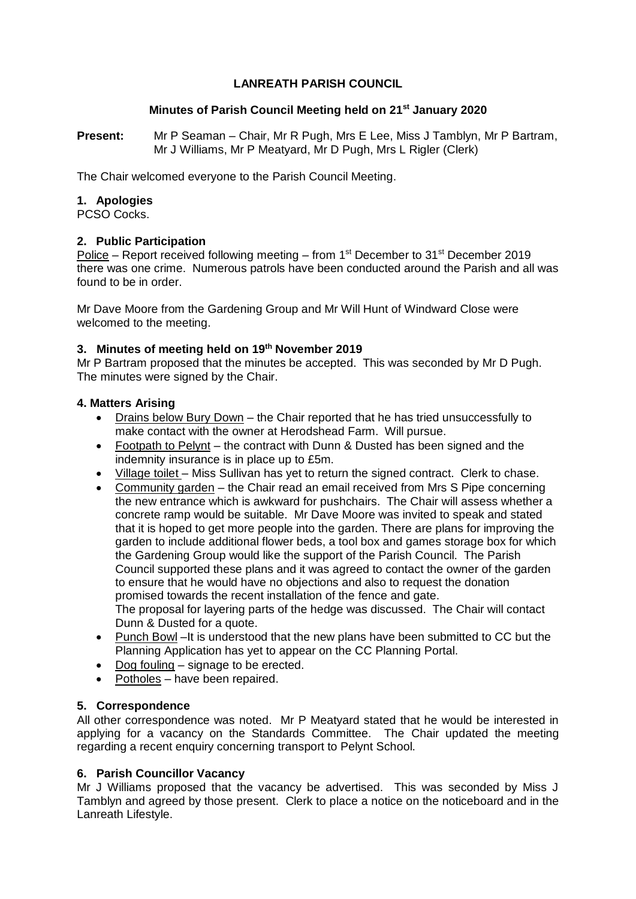# **LANREATH PARISH COUNCIL**

## **Minutes of Parish Council Meeting held on 21st January 2020**

**Present:** Mr P Seaman – Chair, Mr R Pugh, Mrs E Lee, Miss J Tamblyn, Mr P Bartram, Mr J Williams, Mr P Meatyard, Mr D Pugh, Mrs L Rigler (Clerk)

The Chair welcomed everyone to the Parish Council Meeting.

## **1. Apologies**

PCSO Cocks.

## **2. Public Participation**

Police – Report received following meeting – from 1st December to  $31<sup>st</sup>$  December 2019 there was one crime. Numerous patrols have been conducted around the Parish and all was found to be in order.

Mr Dave Moore from the Gardening Group and Mr Will Hunt of Windward Close were welcomed to the meeting.

## **3. Minutes of meeting held on 19th November 2019**

Mr P Bartram proposed that the minutes be accepted. This was seconded by Mr D Pugh. The minutes were signed by the Chair.

## **4. Matters Arising**

- Drains below Bury Down the Chair reported that he has tried unsuccessfully to make contact with the owner at Herodshead Farm. Will pursue.
- Footpath to Pelynt the contract with Dunn & Dusted has been signed and the indemnity insurance is in place up to £5m.
- Village toilet Miss Sullivan has yet to return the signed contract. Clerk to chase.
- Community garden the Chair read an email received from Mrs S Pipe concerning the new entrance which is awkward for pushchairs. The Chair will assess whether a concrete ramp would be suitable. Mr Dave Moore was invited to speak and stated that it is hoped to get more people into the garden. There are plans for improving the garden to include additional flower beds, a tool box and games storage box for which the Gardening Group would like the support of the Parish Council. The Parish Council supported these plans and it was agreed to contact the owner of the garden to ensure that he would have no objections and also to request the donation promised towards the recent installation of the fence and gate. The proposal for layering parts of the hedge was discussed. The Chair will contact Dunn & Dusted for a quote.
- Punch Bowl –It is understood that the new plans have been submitted to CC but the Planning Application has yet to appear on the CC Planning Portal.
- Dog fouling signage to be erected.
- Potholes have been repaired.

## **5. Correspondence**

All other correspondence was noted. Mr P Meatyard stated that he would be interested in applying for a vacancy on the Standards Committee. The Chair updated the meeting regarding a recent enquiry concerning transport to Pelynt School.

## **6. Parish Councillor Vacancy**

Mr J Williams proposed that the vacancy be advertised. This was seconded by Miss J Tamblyn and agreed by those present. Clerk to place a notice on the noticeboard and in the Lanreath Lifestyle.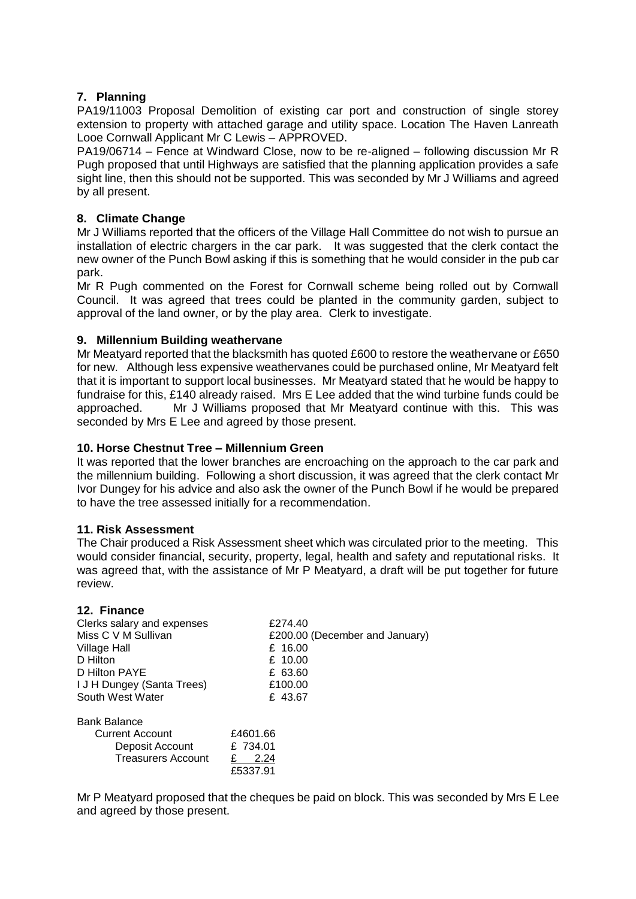## **7. Planning**

PA19/11003 Proposal Demolition of existing car port and construction of single storey extension to property with attached garage and utility space. Location The Haven Lanreath Looe Cornwall Applicant Mr C Lewis – APPROVED.

PA19/06714 – Fence at Windward Close, now to be re-aligned – following discussion Mr R Pugh proposed that until Highways are satisfied that the planning application provides a safe sight line, then this should not be supported. This was seconded by Mr J Williams and agreed by all present.

## **8. Climate Change**

Mr J Williams reported that the officers of the Village Hall Committee do not wish to pursue an installation of electric chargers in the car park. It was suggested that the clerk contact the new owner of the Punch Bowl asking if this is something that he would consider in the pub car park.

Mr R Pugh commented on the Forest for Cornwall scheme being rolled out by Cornwall Council. It was agreed that trees could be planted in the community garden, subject to approval of the land owner, or by the play area. Clerk to investigate.

### **9. Millennium Building weathervane**

Mr Meatyard reported that the blacksmith has quoted £600 to restore the weathervane or £650 for new. Although less expensive weathervanes could be purchased online, Mr Meatyard felt that it is important to support local businesses. Mr Meatyard stated that he would be happy to fundraise for this, £140 already raised. Mrs E Lee added that the wind turbine funds could be approached. Mr J Williams proposed that Mr Meatyard continue with this. This was seconded by Mrs E Lee and agreed by those present.

### **10. Horse Chestnut Tree – Millennium Green**

It was reported that the lower branches are encroaching on the approach to the car park and the millennium building. Following a short discussion, it was agreed that the clerk contact Mr Ivor Dungey for his advice and also ask the owner of the Punch Bowl if he would be prepared to have the tree assessed initially for a recommendation.

#### **11. Risk Assessment**

The Chair produced a Risk Assessment sheet which was circulated prior to the meeting. This would consider financial, security, property, legal, health and safety and reputational risks. It was agreed that, with the assistance of Mr P Meatyard, a draft will be put together for future review.

#### **12. Finance**

| £274.40                        |
|--------------------------------|
| £200.00 (December and January) |
| £ 16.00                        |
| £ 10.00                        |
| £ 63.60                        |
| £100.00                        |
| £43.67                         |
|                                |
| £4601.66                       |
| £ 734.01                       |
| 2.24                           |
| £5337.91                       |
|                                |

Mr P Meatyard proposed that the cheques be paid on block. This was seconded by Mrs E Lee and agreed by those present.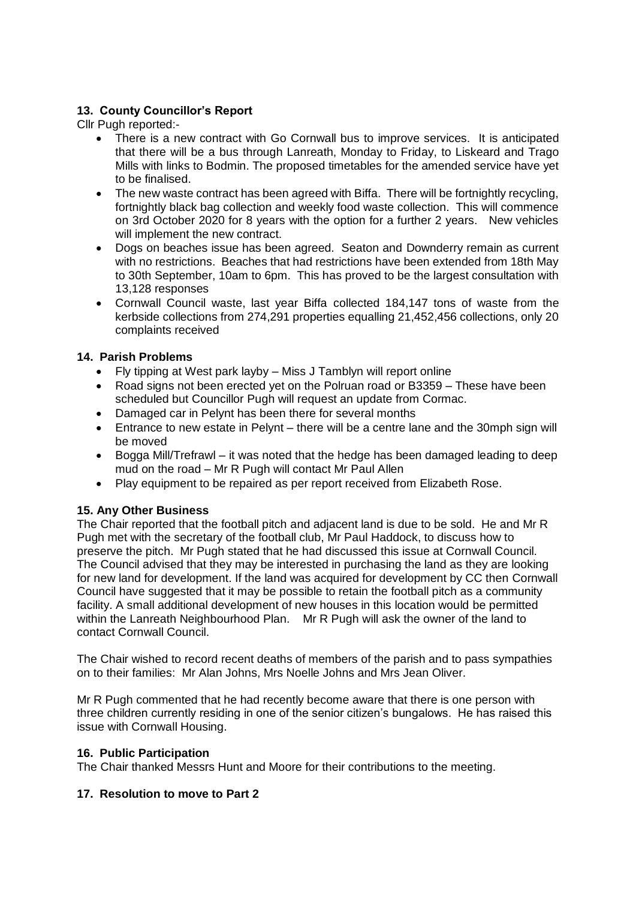# **13. County Councillor's Report**

Cllr Pugh reported:-

- There is a new contract with Go Cornwall bus to improve services. It is anticipated that there will be a bus through Lanreath, Monday to Friday, to Liskeard and Trago Mills with links to Bodmin. The proposed timetables for the amended service have yet to be finalised.
- The new waste contract has been agreed with Biffa. There will be fortnightly recycling, fortnightly black bag collection and weekly food waste collection. This will commence on 3rd October 2020 for 8 years with the option for a further 2 years. New vehicles will implement the new contract.
- Dogs on beaches issue has been agreed. Seaton and Downderry remain as current with no restrictions. Beaches that had restrictions have been extended from 18th May to 30th September, 10am to 6pm. This has proved to be the largest consultation with 13,128 responses
- Cornwall Council waste, last year Biffa collected 184,147 tons of waste from the kerbside collections from 274,291 properties equalling 21,452,456 collections, only 20 complaints received

## **14. Parish Problems**

- Fly tipping at West park layby Miss J Tamblyn will report online
- Road signs not been erected yet on the Polruan road or B3359 These have been scheduled but Councillor Pugh will request an update from Cormac.
- Damaged car in Pelynt has been there for several months
- Entrance to new estate in Pelynt there will be a centre lane and the 30mph sign will be moved
- Bogga Mill/Trefrawl it was noted that the hedge has been damaged leading to deep mud on the road – Mr R Pugh will contact Mr Paul Allen
- Play equipment to be repaired as per report received from Elizabeth Rose.

# **15. Any Other Business**

The Chair reported that the football pitch and adjacent land is due to be sold. He and Mr R Pugh met with the secretary of the football club, Mr Paul Haddock, to discuss how to preserve the pitch. Mr Pugh stated that he had discussed this issue at Cornwall Council. The Council advised that they may be interested in purchasing the land as they are looking for new land for development. If the land was acquired for development by CC then Cornwall Council have suggested that it may be possible to retain the football pitch as a community facility. A small additional development of new houses in this location would be permitted within the Lanreath Neighbourhood Plan. Mr R Pugh will ask the owner of the land to contact Cornwall Council.

The Chair wished to record recent deaths of members of the parish and to pass sympathies on to their families: Mr Alan Johns, Mrs Noelle Johns and Mrs Jean Oliver.

Mr R Pugh commented that he had recently become aware that there is one person with three children currently residing in one of the senior citizen's bungalows. He has raised this issue with Cornwall Housing.

## **16. Public Participation**

The Chair thanked Messrs Hunt and Moore for their contributions to the meeting.

## **17. Resolution to move to Part 2**